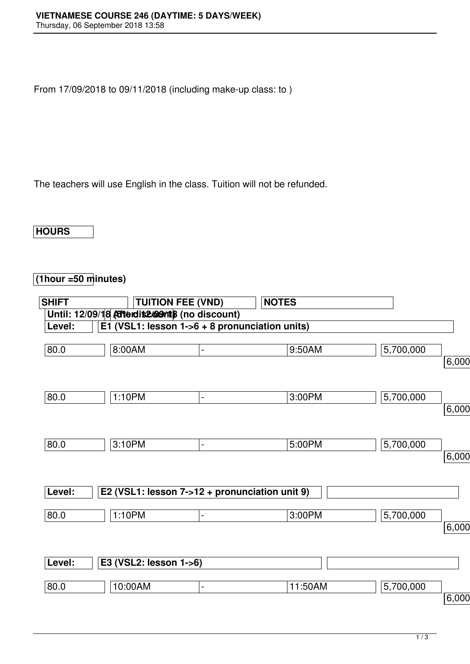From 17/09/2018 to 09/11/2018 (including make-up class: to )

The teachers will use English in the class. Tuition will not be refunded.

**HOURS**

## **(1hour =50 minutes)**

| <b>SHIFT</b> |                                                 | <b>TUITION FEE (VND)</b> | <b>NOTES</b> |           |       |
|--------------|-------------------------------------------------|--------------------------|--------------|-----------|-------|
|              | Until: 12/09/18 Atterdite@Onts (no discount)    |                          |              |           |       |
| Level:       | E1 (VSL1: lesson $1-6 + 8$ pronunciation units) |                          |              |           |       |
| 80.0         | 8:00AM                                          | $\blacksquare$           | 9:50AM       | 5,700,000 |       |
|              |                                                 |                          |              |           | 6,000 |
| 80.0         | 1:10PM                                          | $\blacksquare$           | 3:00PM       | 5,700,000 |       |
|              |                                                 |                          |              |           | 6,000 |
| 80.0         | $3:10P\overline{M}$                             | $\blacksquare$           | 5:00PM       | 5,700,000 |       |
|              |                                                 |                          |              |           | 6,000 |
| Level:       | E2 (VSL1: lesson 7->12 + pronunciation unit 9)  |                          |              |           |       |
| 80.0         | 1:10PM                                          | ä,                       | 3:00PM       | 5,700,000 |       |
|              |                                                 |                          |              |           | 6,000 |
| Level:       | E3 (VSL2: lesson 1->6)                          |                          |              |           |       |
| 80.0         | 10:00AM                                         | $\blacksquare$           | 11:50AM      | 5,700,000 |       |
|              |                                                 |                          |              |           | 6,000 |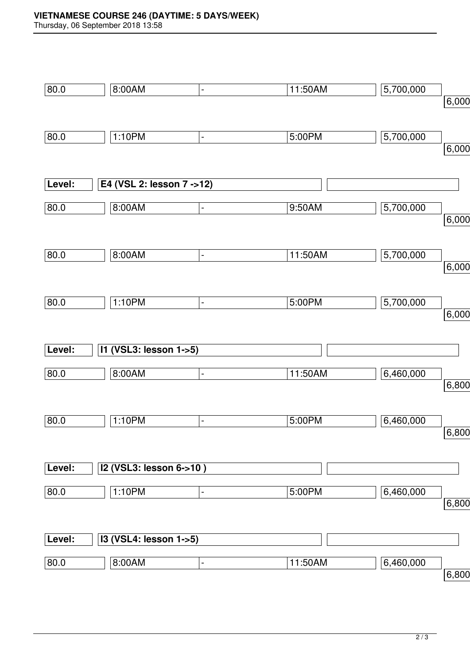Thursday, 06 September 2018 13:58

| 80.0   | 8:00AM                           | $\blacksquare$               | 11:50AM | 5,700,000 | 6,000 |
|--------|----------------------------------|------------------------------|---------|-----------|-------|
|        |                                  |                              |         |           |       |
|        |                                  |                              |         |           |       |
| 80.0   | 1:10PM                           | $\blacksquare$               | 5:00PM  | 5,700,000 |       |
|        |                                  |                              |         |           | 6,000 |
|        |                                  |                              |         |           |       |
| Level: | E4 (VSL 2: lesson 7 ->12)        |                              |         |           |       |
|        |                                  |                              |         |           |       |
| 80.0   | 8:00AM                           | $\qquad \qquad \blacksquare$ | 9:50AM  | 5,700,000 |       |
|        |                                  |                              |         |           | 6,000 |
|        |                                  |                              |         |           |       |
| 80.0   | 8:00AM                           | $\blacksquare$               | 11:50AM | 5,700,000 |       |
|        |                                  |                              |         |           | 6,000 |
|        |                                  |                              |         |           |       |
| 80.0   | 1:10PM                           | $\blacksquare$               | 5:00PM  | 5,700,000 |       |
|        |                                  |                              |         |           | 6,000 |
|        |                                  |                              |         |           |       |
| Level: | 11 (VSL3: lesson 1->5)           |                              |         |           |       |
|        |                                  |                              |         |           |       |
| 80.0   | 8:00AM                           | $\blacksquare$               | 11:50AM | 6,460,000 |       |
|        |                                  |                              |         |           | 6,800 |
|        |                                  |                              |         |           |       |
| 80.0   | 1:10PM                           | $\blacksquare$               | 5:00PM  | 6,460,000 |       |
|        |                                  |                              |         |           | 6,800 |
|        |                                  |                              |         |           |       |
|        |                                  |                              |         |           |       |
| Level: | I2 (VSL3: lesson 6->10)          |                              |         |           |       |
| 80.0   | 1:10PM                           | $\blacksquare$               | 5:00PM  | 6,460,000 |       |
|        |                                  |                              |         |           | 6,800 |
|        |                                  |                              |         |           |       |
| Level: | <b>I3 (VSL4: lesson 1-&gt;5)</b> |                              |         |           |       |
|        |                                  |                              |         |           |       |
| 80.0   | 8:00AM                           | $\blacksquare$               | 11:50AM | 6,460,000 |       |
|        |                                  |                              |         |           | 6,800 |